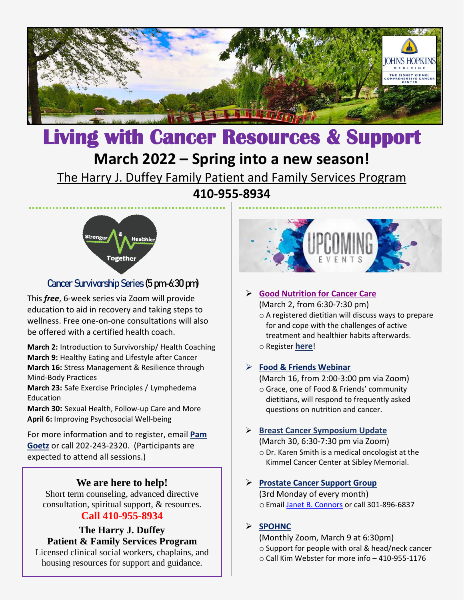

# **Living with Cancer Resources & Support**

# **March 2022 – Spring into a new season!**

[The Harry J. Duffey Family Patient and Family Services Program](https://www.hopkinsmedicine.org/kimmel_cancer_center/patient_and_family_services/)

# **410-955-8934**



### Cancer Survivorship Series (5 pm-6:30 pm)

This *free*, 6-week series via Zoom will provide education to aid in recovery and taking steps to wellness. Free one-on-one consultations will also be offered with a certified health coach.

**March 2:** Introduction to Survivorship/ Health Coaching **March 9:** Healthy Eating and Lifestyle after Cancer **March 16:** Stress Management & Resilience through Mind-Body Practices

**March 23:** Safe Exercise Principles / Lymphedema **Education** 

**March 30:** Sexual Health, Follow-up Care and More **April 6:** Improving Psychosocial Well-being

For more information and to register, email **[Pam](mailto:pgoetz4@jhmi.edu)  [Goetz](mailto:pgoetz4@jhmi.edu)** or call 202-243-2320. (Participants are expected to attend all sessions.)

### **We are here to help!**

Short term counseling, advanced directive consultation, spiritual support, & resources. **Call 410-955-8934**

# **The Harry J. Duffey**

**Patient & Family Services Program** Licensed clinical social workers, chaplains, and housing resources for support and guidance.



#### ➢ **[Good Nutrition for Cancer Care](https://hopeconnectionsforcancer.org/programs/education-programs/)** (March 2, from 6:30-7:30 pm)

- o A registered dietitian will discuss ways to prepare for and cope with the challenges of active treatment and healthier habits afterwards.
- o Register **[here](https://hopeconnectionsforcancer.org/programs/education-programs/)**!

### ➢ **[Food & Friends Webinar](https://hopeconnectionsforcancer.org/programs/education-programs/)**

(March 16, from 2:00-3:00 pm via Zoom) o Grace, one of Food & Friends' community dietitians, will respond to frequently asked questions on nutrition and cancer.

### ➢ **[Breast Cancer Symposium Update](https://hopeconnectionsforcancer.org/programs/education-programs/)**

(March 30, 6:30-7:30 pm via Zoom) o Dr. Karen Smith is a medical oncologist at the Kimmel Cancer Center at Sibley Memorial.

# ➢ **[Prostate Cancer Support Group](https://zerocancer.org/get-support/peer-support/us-too-support-groups/)**

(3rd Monday of every month) oEmail [Janet B. Connors](mailto:jconno13@jhmi.edu) or call 301-896-6837

### ➢ **[SPOHNC](https://www.spohnc.org/)**

(Monthly Zoom, March 9 at 6:30pm) o Support for people with oral & head/neck cancer  $\circ$  Call Kim Webster for more info – 410-955-1176